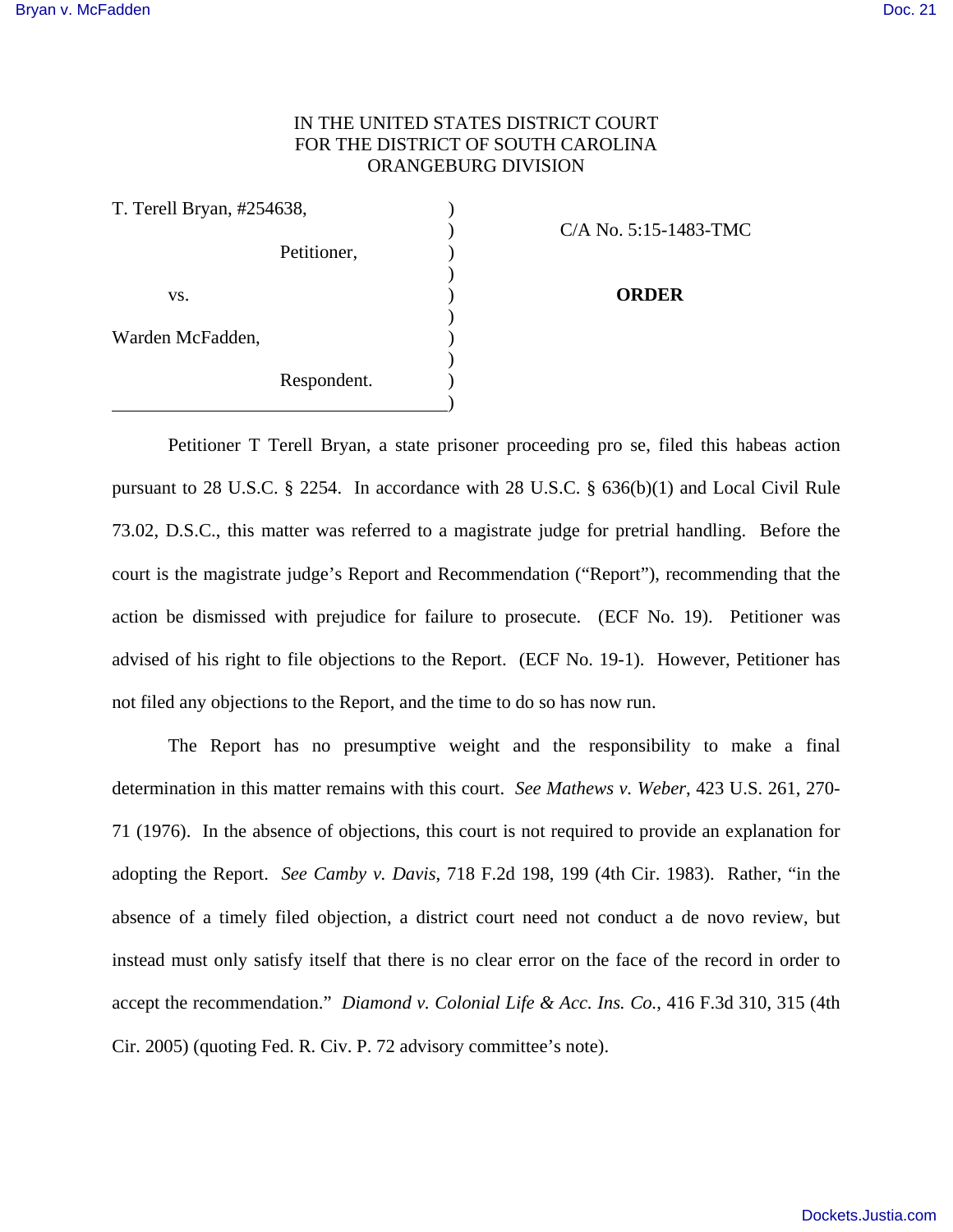## IN THE UNITED STATES DISTRICT COURT FOR THE DISTRICT OF SOUTH CAROLINA ORANGEBURG DIVISION

| T. Terell Bryan, #254638, |             |                   |
|---------------------------|-------------|-------------------|
|                           |             | $C/A$ No. 5:15-14 |
|                           | Petitioner, |                   |
|                           |             |                   |
| VS.                       |             | <b>ORDER</b>      |
|                           |             |                   |
| Warden McFadden,          |             |                   |
|                           |             |                   |
|                           | Respondent. |                   |
|                           |             |                   |

) C/A No. 5:15-1483-TMC

Petitioner T Terell Bryan, a state prisoner proceeding pro se, filed this habeas action pursuant to 28 U.S.C. § 2254. In accordance with 28 U.S.C. § 636(b)(1) and Local Civil Rule 73.02, D.S.C., this matter was referred to a magistrate judge for pretrial handling. Before the court is the magistrate judge's Report and Recommendation ("Report"), recommending that the action be dismissed with prejudice for failure to prosecute. (ECF No. 19). Petitioner was advised of his right to file objections to the Report. (ECF No. 19-1). However, Petitioner has not filed any objections to the Report, and the time to do so has now run.

 The Report has no presumptive weight and the responsibility to make a final determination in this matter remains with this court. *See Mathews v. Weber*, 423 U.S. 261, 270- 71 (1976). In the absence of objections, this court is not required to provide an explanation for adopting the Report. *See Camby v. Davis*, 718 F.2d 198, 199 (4th Cir. 1983). Rather, "in the absence of a timely filed objection, a district court need not conduct a de novo review, but instead must only satisfy itself that there is no clear error on the face of the record in order to accept the recommendation." *Diamond v. Colonial Life & Acc. Ins. Co.*, 416 F.3d 310, 315 (4th Cir. 2005) (quoting Fed. R. Civ. P. 72 advisory committee's note).